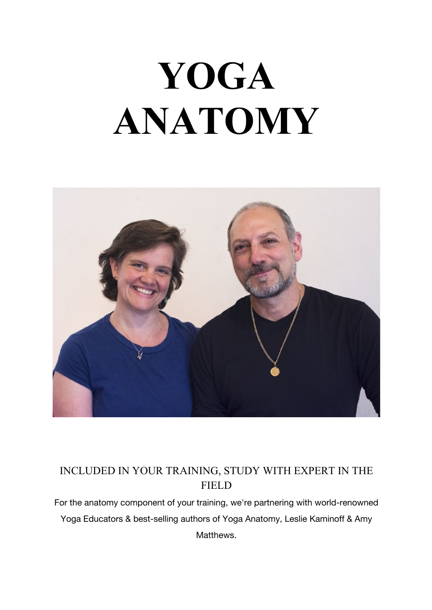## **YOGA ANATOMY**



## INCLUDED IN YOUR TRAINING, STUDY WITH EXPERT IN THE FIELD

For the anatomy component of your training, we're partnering with world-renowned Yoga Educators & best-selling authors of Yoga Anatomy, Leslie Kaminoff & Amy Matthews.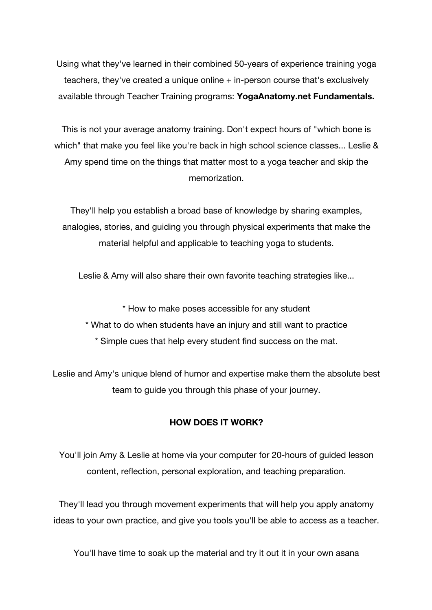Using what they've learned in their combined 50-years of experience training yoga teachers, they've created a unique online + in-person course that's exclusively available through Teacher Training programs: **YogaAnatomy.net Fundamentals.**

This is not your average anatomy training. Don't expect hours of "which bone is which" that make you feel like you're back in high school science classes... Leslie & Amy spend time on the things that matter most to a yoga teacher and skip the memorization.

They'll help you establish a broad base of knowledge by sharing examples, analogies, stories, and guiding you through physical experiments that make the material helpful and applicable to teaching yoga to students.

Leslie & Amy will also share their own favorite teaching strategies like...

\* How to make poses accessible for any student

- \* What to do when students have an injury and still want to practice
	- \* Simple cues that help every student find success on the mat.

Leslie and Amy's unique blend of humor and expertise make them the absolute best team to guide you through this phase of your journey.

## **HOW DOES IT WORK?**

You'll join Amy & Leslie at home via your computer for 20-hours of guided lesson content, reflection, personal exploration, and teaching preparation.

They'll lead you through movement experiments that will help you apply anatomy ideas to your own practice, and give you tools you'll be able to access as a teacher.

You'll have time to soak up the material and try it out it in your own asana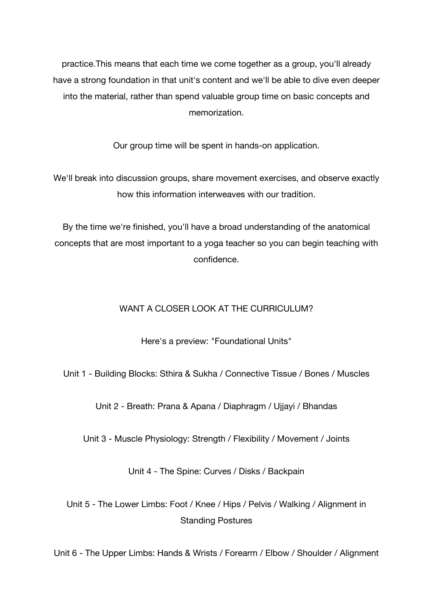practice.This means that each time we come together as a group, you'll already have a strong foundation in that unit's content and we'll be able to dive even deeper into the material, rather than spend valuable group time on basic concepts and memorization.

Our group time will be spent in hands-on application.

We'll break into discussion groups, share movement exercises, and observe exactly how this information interweaves with our tradition.

By the time we're finished, you'll have a broad understanding of the anatomical concepts that are most important to a yoga teacher so you can begin teaching with confidence.

## WANT A CLOSER LOOK AT THE CURRICULUM?

Here's a preview: "Foundational Units"

Unit 1 - Building Blocks: Sthira & Sukha / Connective Tissue / Bones / Muscles

Unit 2 - Breath: Prana & Apana / Diaphragm / Ujjayi / Bhandas

Unit 3 - Muscle Physiology: Strength / Flexibility / Movement / Joints

Unit 4 - The Spine: Curves / Disks / Backpain

Unit 5 - The Lower Limbs: Foot / Knee / Hips / Pelvis / Walking / Alignment in Standing Postures

Unit 6 - The Upper Limbs: Hands & Wrists / Forearm / Elbow / Shoulder / Alignment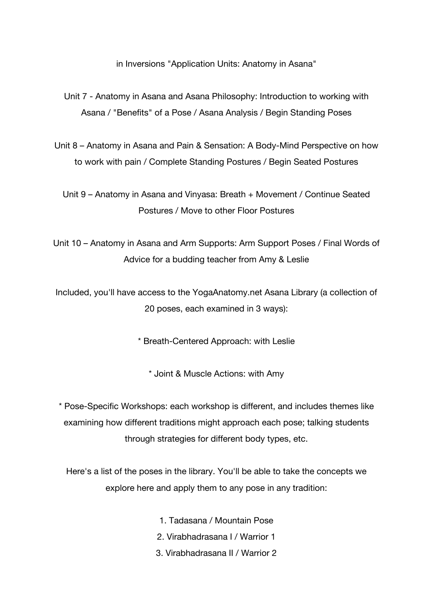in Inversions "Application Units: Anatomy in Asana"

- Unit 7 Anatomy in Asana and Asana Philosophy: Introduction to working with Asana / "Benefits" of a Pose / Asana Analysis / Begin Standing Poses
- Unit 8 Anatomy in Asana and Pain & Sensation: A Body-Mind Perspective on how to work with pain / Complete Standing Postures / Begin Seated Postures

Unit 9 – Anatomy in Asana and Vinyasa: Breath + Movement / Continue Seated Postures / Move to other Floor Postures

Unit 10 – Anatomy in Asana and Arm Supports: Arm Support Poses / Final Words of Advice for a budding teacher from Amy & Leslie

Included, you'll have access to the YogaAnatomy.net Asana Library (a collection of 20 poses, each examined in 3 ways):

\* Breath-Centered Approach: with Leslie

\* Joint & Muscle Actions: with Amy

\* Pose-Specific Workshops: each workshop is different, and includes themes like examining how different traditions might approach each pose; talking students through strategies for different body types, etc.

Here's a list of the poses in the library. You'll be able to take the concepts we explore here and apply them to any pose in any tradition:

- 1. Tadasana / Mountain Pose
- 2. Virabhadrasana I / Warrior 1
- 3. Virabhadrasana II / Warrior 2